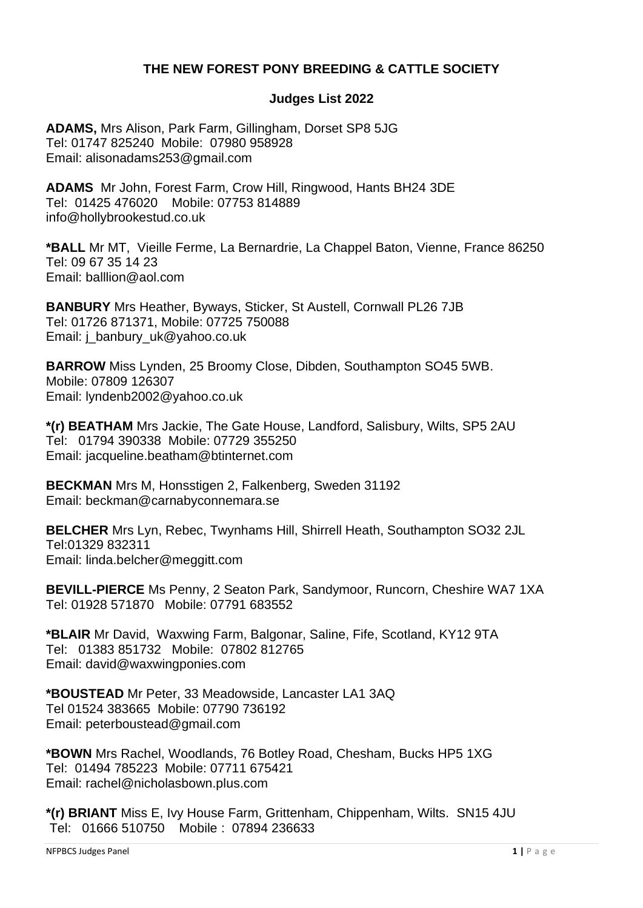# **THE NEW FOREST PONY BREEDING & CATTLE SOCIETY**

### **Judges List 2022**

**ADAMS,** Mrs Alison, Park Farm, Gillingham, Dorset SP8 5JG Tel: 01747 825240 Mobile: 07980 958928 Email: alisonadams253@gmail.com

**ADAMS** Mr John, Forest Farm, Crow Hill, Ringwood, Hants BH24 3DE Tel: 01425 476020 Mobile: 07753 814889 info@hollybrookestud.co.uk

**\*BALL** Mr MT, Vieille Ferme, La Bernardrie, La Chappel Baton, Vienne, France 86250 Tel: 09 67 35 14 23 Email: [balllion@aol.com](mailto:balllion@aol.com)

**BANBURY** Mrs Heather, Byways, Sticker, St Austell, Cornwall PL26 7JB Tel: 01726 871371, Mobile: 07725 750088 Email: [j\\_banbury\\_uk@yahoo.co.uk](mailto:j_banbury_uk@yahoo.co.uk)

**BARROW** Miss Lynden, 25 Broomy Close, Dibden, Southampton SO45 5WB. Mobile: 07809 126307 Email: lyndenb2002@yahoo.co.uk

**\*(r) BEATHAM** Mrs Jackie, The Gate House, Landford, Salisbury, Wilts, SP5 2AU Tel: 01794 390338 Mobile: 07729 355250 Email: [jacqueline.beatham@btinternet.com](mailto:jacqueline.beatham@btinternet.com)

**BECKMAN** Mrs M, Honsstigen 2, Falkenberg, Sweden 31192 Email: beckman@carnabyconnemara.se

**BELCHER** Mrs Lyn, Rebec, Twynhams Hill, Shirrell Heath, Southampton SO32 2JL Tel:01329 832311 Email: [linda.belcher@meggitt.com](mailto:linda.belcher@meggitt.com)

**BEVILL-PIERCE** Ms Penny, 2 Seaton Park, Sandymoor, Runcorn, Cheshire WA7 1XA Tel: 01928 571870 Mobile: 07791 683552

**\*BLAIR** Mr David, Waxwing Farm, Balgonar, Saline, Fife, Scotland, KY12 9TA Tel: 01383 851732 Mobile: 07802 812765 Email: david@waxwingponies.com

**\*BOUSTEAD** Mr Peter, 33 Meadowside, Lancaster LA1 3AQ Tel 01524 383665 Mobile: 07790 736192 Email: peterboustead@gmail.com

**\*BOWN** Mrs Rachel, Woodlands, 76 Botley Road, Chesham, Bucks HP5 1XG Tel: 01494 785223 Mobile: 07711 675421 Email: rachel@nicholasbown.plus.com

**\*(r) BRIANT** Miss E, Ivy House Farm, Grittenham, Chippenham, Wilts. SN15 4JU Tel: 01666 510750 Mobile : 07894 236633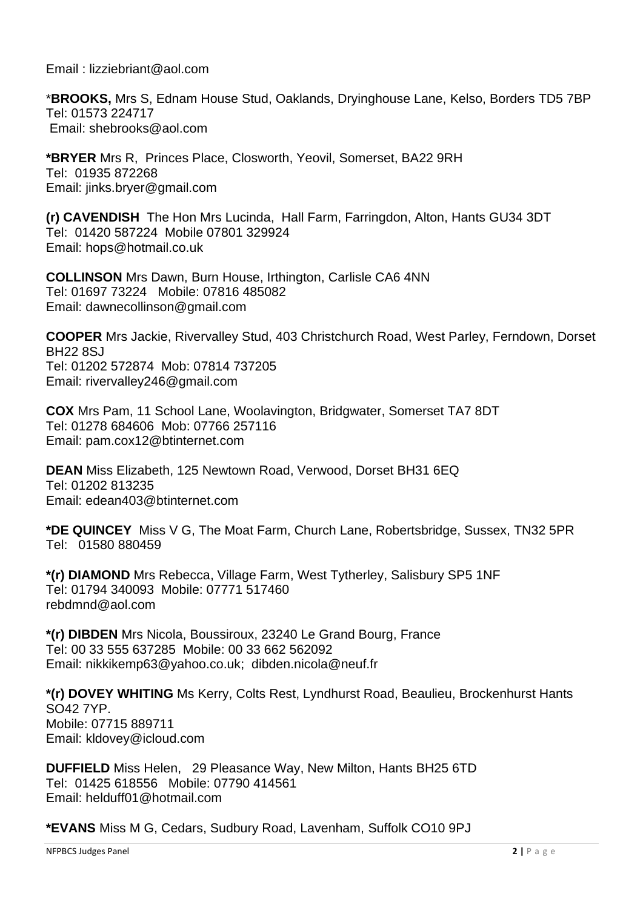Email : lizziebriant@aol.com

\***BROOKS,** Mrs S, Ednam House Stud, Oaklands, Dryinghouse Lane, Kelso, Borders TD5 7BP Tel: 01573 224717 Email: shebrooks@aol.com

**\*BRYER** Mrs R, Princes Place, Closworth, Yeovil, Somerset, BA22 9RH Tel: 01935 872268 Email: jinks.bryer@gmail.com

**(r) CAVENDISH** The Hon Mrs Lucinda, Hall Farm, Farringdon, Alton, Hants GU34 3DT Tel: 01420 587224 Mobile 07801 329924 Email: hops@hotmail.co.uk

**COLLINSON** Mrs Dawn, Burn House, Irthington, Carlisle CA6 4NN Tel: 01697 73224 Mobile: 07816 485082 Email: [dawnecollinson@gmail.com](mailto:dawnecollinson@gmail.com)

**COOPER** Mrs Jackie, Rivervalley Stud, 403 Christchurch Road, West Parley, Ferndown, Dorset BH22 8SJ Tel: 01202 572874 Mob: 07814 737205 Email: rivervalley246@gmail.com

**COX** Mrs Pam, 11 School Lane, Woolavington, Bridgwater, Somerset TA7 8DT Tel: 01278 684606 Mob: 07766 257116 Email: [pam.cox12@btinternet.com](mailto:pam.cox12@btinternet.com)

**DEAN** Miss Elizabeth, 125 Newtown Road, Verwood, Dorset BH31 6EQ Tel: 01202 813235 Email: [edean403@btinternet.com](mailto:edean403@btinternet.com)

**\*DE QUINCEY** Miss V G, The Moat Farm, Church Lane, Robertsbridge, Sussex, TN32 5PR Tel: 01580 880459

**\*(r) DIAMOND** Mrs Rebecca, Village Farm, West Tytherley, Salisbury SP5 1NF Tel: 01794 340093 Mobile: 07771 517460 rebdmnd@aol.com

**\*(r) DIBDEN** Mrs Nicola, Boussiroux, 23240 Le Grand Bourg, France Tel: 00 33 555 637285 Mobile: 00 33 662 562092 Email: [nikkikemp63@yahoo.co.uk;](mailto:nikkikemp63@yahoo.co.uk) dibden.nicola@neuf.fr

**\*(r) DOVEY WHITING** Ms Kerry, Colts Rest, Lyndhurst Road, Beaulieu, Brockenhurst Hants SO42 7YP. Mobile: 07715 889711 Email: [kldovey@icloud.com](mailto:kldovey@icloud.com)

**DUFFIELD** Miss Helen, 29 Pleasance Way, New Milton, Hants BH25 6TD Tel: 01425 618556 Mobile: 07790 414561 Email: helduff01@hotmail.com

**\*EVANS** Miss M G, Cedars, Sudbury Road, Lavenham, Suffolk CO10 9PJ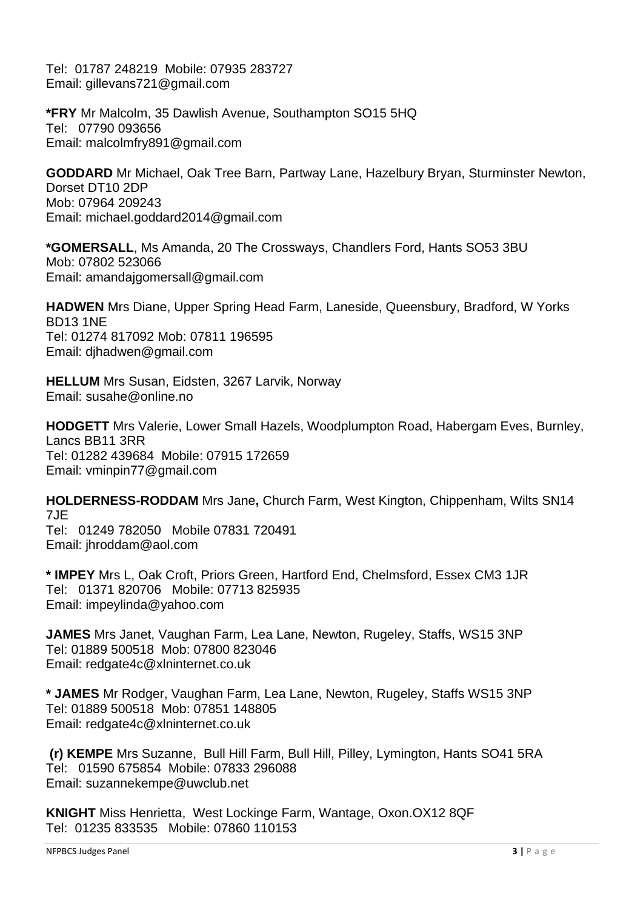Tel: 01787 248219 Mobile: 07935 283727 Email: gillevans721@gmail.com

**\*FRY** Mr Malcolm, 35 Dawlish Avenue, Southampton SO15 5HQ Tel: 07790 093656 Email: [malcolmfry891@gmail.com](mailto:malcolmfry891@gmail.com)

**GODDARD** Mr Michael, Oak Tree Barn, Partway Lane, Hazelbury Bryan, Sturminster Newton, Dorset DT10 2DP Mob: 07964 209243 Email: michael.goddard2014@gmail.com

**\*GOMERSALL**, Ms Amanda, 20 The Crossways, Chandlers Ford, Hants SO53 3BU Mob: 07802 523066 Email: amandajgomersall@gmail.com

**HADWEN** Mrs Diane, Upper Spring Head Farm, Laneside, Queensbury, Bradford, W Yorks BD13 1NE Tel: 01274 817092 Mob: 07811 196595 Email: djhadwen@gmail.com

**HELLUM** Mrs Susan, Eidsten, 3267 Larvik, Norway Email: [susahe@online.no](mailto:susahe@online.no)

**HODGETT** Mrs Valerie, Lower Small Hazels, Woodplumpton Road, Habergam Eves, Burnley, Lancs BB11 3RR Tel: 01282 439684 Mobile: 07915 172659 Email: vminpin77@gmail.com

**HOLDERNESS-RODDAM** Mrs Jane**,** Church Farm, West Kington, Chippenham, Wilts SN14 7JE Tel: 01249 782050 Mobile 07831 720491

Email: jhroddam@aol.com

**\* IMPEY** Mrs L, Oak Croft, Priors Green, Hartford End, Chelmsford, Essex CM3 1JR Tel: 01371 820706 Mobile: 07713 825935 Email: [impeylinda@yahoo.com](mailto:impeylinda@yahoo.com)

**JAMES** Mrs Janet, Vaughan Farm, Lea Lane, Newton, Rugeley, Staffs, WS15 3NP Tel: 01889 500518 Mob: 07800 823046 Email: redgate4c@xlninternet.co.uk

**\* JAMES** Mr Rodger, Vaughan Farm, Lea Lane, Newton, Rugeley, Staffs WS15 3NP Tel: 01889 500518 Mob: 07851 148805 Email: redgate4c@xlninternet.co.uk

**(r) KEMPE** Mrs Suzanne, Bull Hill Farm, Bull Hill, Pilley, Lymington, Hants SO41 5RA Tel: 01590 675854 Mobile: 07833 296088 Email: [suzannekempe@uwclub.net](mailto:suzannekempe@uwclub.net)

**KNIGHT** Miss Henrietta, West Lockinge Farm, Wantage, Oxon.OX12 8QF Tel: 01235 833535 Mobile: 07860 110153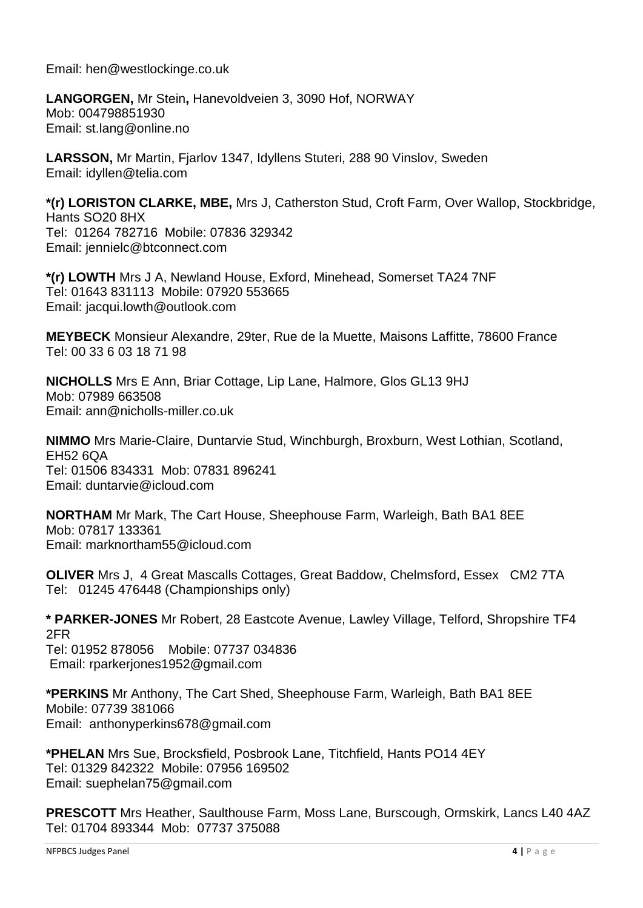Email: hen@westlockinge.co.uk

**LANGORGEN,** Mr Stein**,** Hanevoldveien 3, 3090 Hof, NORWAY Mob: 004798851930 Email: st.lang@online.no

**LARSSON,** Mr Martin, Fjarlov 1347, Idyllens Stuteri, 288 90 Vinslov, Sweden Email: [idyllen@telia.com](mailto:idyllen@telia.com)

**\*(r) LORISTON CLARKE, MBE,** Mrs J, Catherston Stud, Croft Farm, Over Wallop, Stockbridge, Hants SO20 8HX Tel: 01264 782716 Mobile: 07836 329342 Email: jennielc@btconnect.com

**\*(r) LOWTH** Mrs J A, Newland House, Exford, Minehead, Somerset TA24 7NF Tel: 01643 831113 Mobile: 07920 553665 Email: jacqui.lowth@outlook.com

**MEYBECK** Monsieur Alexandre, 29ter, Rue de la Muette, Maisons Laffitte, 78600 France Tel: 00 33 6 03 18 71 98

**NICHOLLS** Mrs E Ann, Briar Cottage, Lip Lane, Halmore, Glos GL13 9HJ Mob: 07989 663508 Email: ann@nicholls-miller.co.uk

**NIMMO** Mrs Marie-Claire, Duntarvie Stud, Winchburgh, Broxburn, West Lothian, Scotland, EH52 6QA Tel: 01506 834331 Mob: 07831 896241 Email: [duntarvie@icloud.com](mailto:duntarvie@icloud.com)

**NORTHAM** Mr Mark, The Cart House, Sheephouse Farm, Warleigh, Bath BA1 8EE Mob: 07817 133361 Email: marknortham55@icloud.com

**OLIVER** Mrs J, 4 Great Mascalls Cottages, Great Baddow, Chelmsford, Essex CM2 7TA Tel: 01245 476448 (Championships only)

**\* PARKER-JONES** Mr Robert, 28 Eastcote Avenue, Lawley Village, Telford, Shropshire TF4 2FR Tel: 01952 878056 Mobile: 07737 034836 Email: [rparkerjones1952@gmail.com](mailto:rparkerjones1952@gmail.com)

**\*PERKINS** Mr Anthony, The Cart Shed, Sheephouse Farm, Warleigh, Bath BA1 8EE Mobile: 07739 381066 Email: [anthonyperkins678@gmail.com](mailto:anthonyperkins678@gmail.com)

**\*PHELAN** Mrs Sue, Brocksfield, Posbrook Lane, Titchfield, Hants PO14 4EY Tel: 01329 842322 Mobile: 07956 169502 Email: [suephelan75@gmail.com](mailto:suephelan75@gmail.com)

**PRESCOTT** Mrs Heather, Saulthouse Farm, Moss Lane, Burscough, Ormskirk, Lancs L40 4AZ Tel: 01704 893344 Mob: 07737 375088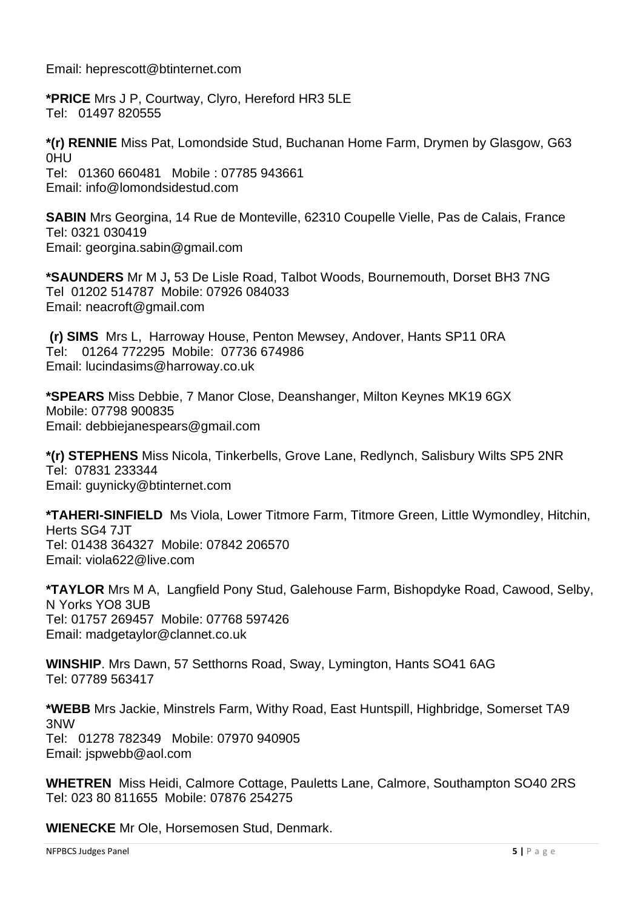Email: heprescott@btinternet.com

**\*PRICE** Mrs J P, Courtway, Clyro, Hereford HR3 5LE Tel: 01497 820555

**\*(r) RENNIE** Miss Pat, Lomondside Stud, Buchanan Home Farm, Drymen by Glasgow, G63 0HU Tel: 01360 660481 Mobile : 07785 943661 Email: info@lomondsidestud.com

**SABIN** Mrs Georgina, 14 Rue de Monteville, 62310 Coupelle Vielle, Pas de Calais, France Tel: 0321 030419 Email: georgina.sabin@gmail.com

**\*SAUNDERS** Mr M J**,** 53 De Lisle Road, Talbot Woods, Bournemouth, Dorset BH3 7NG Tel 01202 514787 Mobile: 07926 084033 Email: [neacroft@gmail.com](mailto:neacroft@gmail.com)

**(r) SIMS** Mrs L, Harroway House, Penton Mewsey, Andover, Hants SP11 0RA Tel: 01264 772295 Mobile: 07736 674986 Email: lucindasims@harroway.co.uk

**\*SPEARS** Miss Debbie, 7 Manor Close, Deanshanger, Milton Keynes MK19 6GX Mobile: 07798 900835 Email: [debbiejanespears@gmail.com](mailto:debbiejanespears@gmail.com)

**\*(r) STEPHENS** Miss Nicola, Tinkerbells, Grove Lane, Redlynch, Salisbury Wilts SP5 2NR Tel: 07831 233344 Email: guynicky@btinternet.com

**\*TAHERI-SINFIELD** Ms Viola, Lower Titmore Farm, Titmore Green, Little Wymondley, Hitchin, Herts SG4 7.IT Tel: 01438 364327 Mobile: 07842 206570 Email: viola622@live.com

**\*TAYLOR** Mrs M A, Langfield Pony Stud, Galehouse Farm, Bishopdyke Road, Cawood, Selby, N Yorks YO8 3UB Tel: 01757 269457 Mobile: 07768 597426 Email: madgetaylor@clannet.co.uk

**WINSHIP**. Mrs Dawn, 57 Setthorns Road, Sway, Lymington, Hants SO41 6AG Tel: 07789 563417

**\*WEBB** Mrs Jackie, Minstrels Farm, Withy Road, East Huntspill, Highbridge, Somerset TA9 3NW Tel: 01278 782349 Mobile: 07970 940905 Email: [jspwebb@aol.com](mailto:jspwebb@aol.com)

**WHETREN** Miss Heidi, Calmore Cottage, Pauletts Lane, Calmore, Southampton SO40 2RS Tel: 023 80 811655 Mobile: 07876 254275

**WIENECKE** Mr Ole, Horsemosen Stud, Denmark.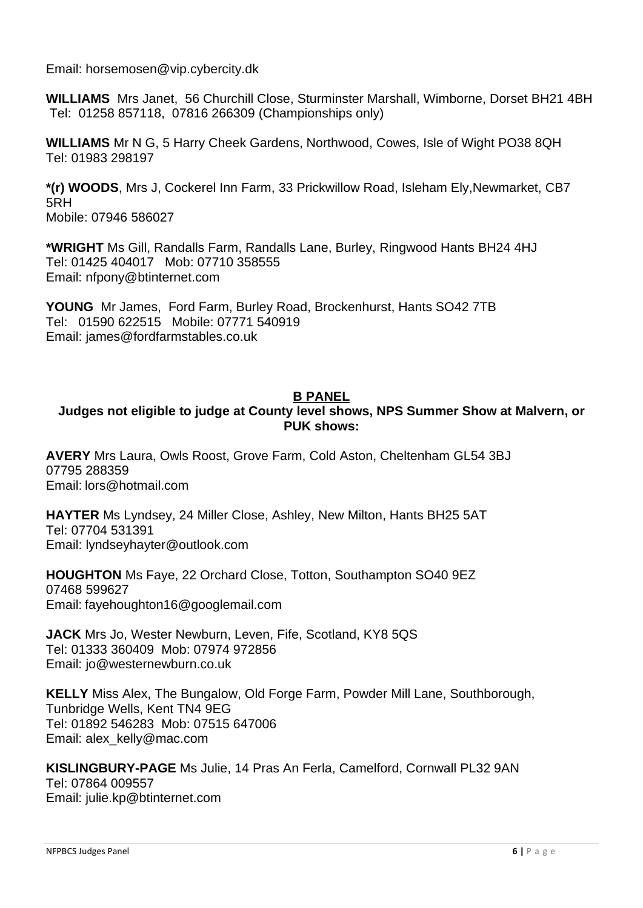Email: [horsemosen@vip.cybercity.dk](mailto:horsemosen@vip.cybercity.dk)

**WILLIAMS** Mrs Janet, 56 Churchill Close, Sturminster Marshall, Wimborne, Dorset BH21 4BH Tel: 01258 857118, 07816 266309 (Championships only)

**WILLIAMS** Mr N G, 5 Harry Cheek Gardens, Northwood, Cowes, Isle of Wight PO38 8QH Tel: 01983 298197

**\*(r) WOODS**, Mrs J, Cockerel Inn Farm, 33 Prickwillow Road, Isleham Ely,Newmarket, CB7 5RH Mobile: 07946 586027

**\*WRIGHT** Ms Gill, Randalls Farm, Randalls Lane, Burley, Ringwood Hants BH24 4HJ Tel: 01425 404017 Mob: 07710 358555 Email: [nfpony@btinternet.com](mailto:nfpony@btinternet.com)

**YOUNG** Mr James, Ford Farm, Burley Road, Brockenhurst, Hants SO42 7TB Tel: 01590 622515 Mobile: 07771 540919 Email: james@fordfarmstables.co.uk

### **B PANEL**

## **Judges not eligible to judge at County level shows, NPS Summer Show at Malvern, or PUK shows:**

**AVERY** Mrs Laura, Owls Roost, Grove Farm, Cold Aston, Cheltenham GL54 3BJ 07795 288359 Email: [lors@hotmail.com](mailto:lors@hotmail.com)

**HAYTER** Ms Lyndsey, 24 Miller Close, Ashley, New Milton, Hants BH25 5AT Tel: 07704 531391 Email: lyndseyhayter@outlook.com

**HOUGHTON** Ms Faye, 22 Orchard Close, Totton, Southampton SO40 9EZ 07468 599627 Email: fayehoughton16@googlemail.com

**JACK** Mrs Jo, Wester Newburn, Leven, Fife, Scotland, KY8 5QS Tel: 01333 360409 Mob: 07974 972856 Email: [jo@westernewburn.co.uk](mailto:jo@westernewburn.co.uk)

**KELLY** Miss Alex, The Bungalow, Old Forge Farm, Powder Mill Lane, Southborough, Tunbridge Wells, Kent TN4 9EG Tel: 01892 546283 Mob: 07515 647006 Email: alex\_kelly@mac.com

**KISLINGBURY-PAGE** Ms Julie, 14 Pras An Ferla, Camelford, Cornwall PL32 9AN Tel: 07864 009557

Email: julie.kp@btinternet.com